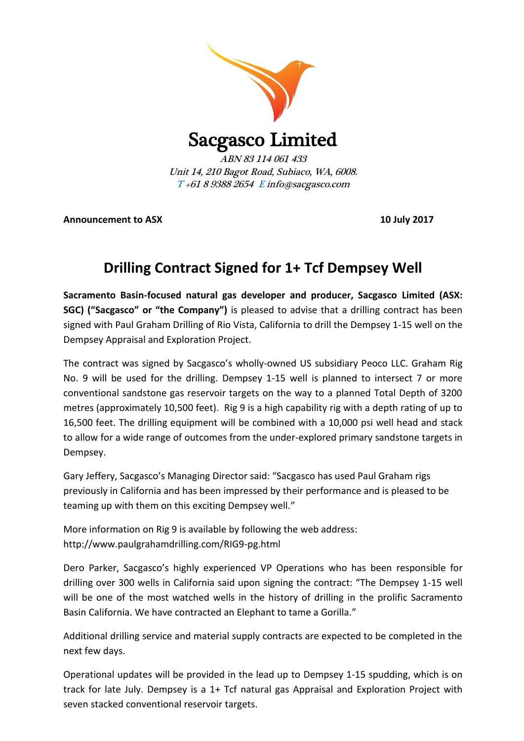

**Announcement to ASX 10 July 2017**

## **Drilling Contract Signed for 1+ Tcf Dempsey Well**

**Sacramento Basin-focused natural gas developer and producer, Sacgasco Limited (ASX: SGC) ("Sacgasco" or "the Company")** is pleased to advise that a drilling contract has been signed with Paul Graham Drilling of Rio Vista, California to drill the Dempsey 1-15 well on the Dempsey Appraisal and Exploration Project.

The contract was signed by Sacgasco's wholly-owned US subsidiary Peoco LLC. Graham Rig No. 9 will be used for the drilling. Dempsey 1-15 well is planned to intersect 7 or more conventional sandstone gas reservoir targets on the way to a planned Total Depth of 3200 metres (approximately 10,500 feet). Rig 9 is a high capability rig with a depth rating of up to 16,500 feet. The drilling equipment will be combined with a 10,000 psi well head and stack to allow for a wide range of outcomes from the under-explored primary sandstone targets in Dempsey.

Gary Jeffery, Sacgasco's Managing Director said: "Sacgasco has used Paul Graham rigs previously in California and has been impressed by their performance and is pleased to be teaming up with them on this exciting Dempsey well."

More information on Rig 9 is available by following the web address: http://www.paulgrahamdrilling.com/RIG9-pg.html

Dero Parker, Sacgasco's highly experienced VP Operations who has been responsible for drilling over 300 wells in California said upon signing the contract: "The Dempsey 1-15 well will be one of the most watched wells in the history of drilling in the prolific Sacramento Basin California. We have contracted an Elephant to tame a Gorilla."

Additional drilling service and material supply contracts are expected to be completed in the next few days.

Operational updates will be provided in the lead up to Dempsey 1-15 spudding, which is on track for late July. Dempsey is a 1+ Tcf natural gas Appraisal and Exploration Project with seven stacked conventional reservoir targets.